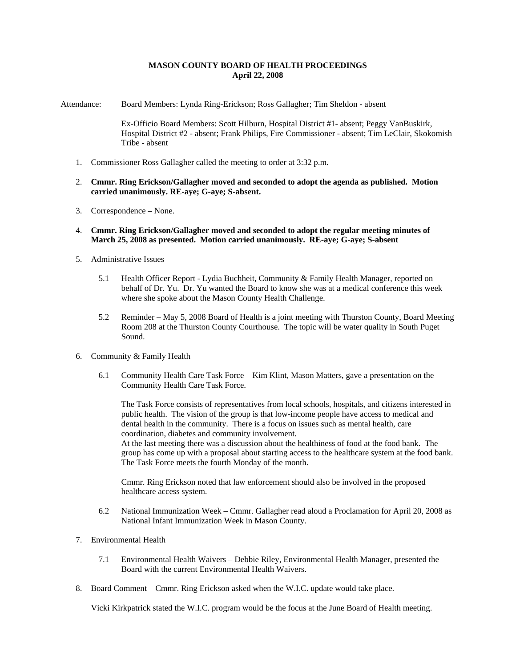## **MASON COUNTY BOARD OF HEALTH PROCEEDINGS April 22, 2008**

Attendance: Board Members: Lynda Ring-Erickson; Ross Gallagher; Tim Sheldon - absent

Ex-Officio Board Members: Scott Hilburn, Hospital District #1- absent; Peggy VanBuskirk, Hospital District #2 - absent; Frank Philips, Fire Commissioner - absent; Tim LeClair, Skokomish Tribe - absent

- 1. Commissioner Ross Gallagher called the meeting to order at 3:32 p.m.
- 2. **Cmmr. Ring Erickson/Gallagher moved and seconded to adopt the agenda as published. Motion carried unanimously. RE-aye; G-aye; S-absent.**
- 3. Correspondence None.
- 4. **Cmmr. Ring Erickson/Gallagher moved and seconded to adopt the regular meeting minutes of March 25, 2008 as presented. Motion carried unanimously. RE-aye; G-aye; S-absent**
- 5. Administrative Issues
	- 5.1 Health Officer Report Lydia Buchheit, Community & Family Health Manager, reported on behalf of Dr. Yu. Dr. Yu wanted the Board to know she was at a medical conference this week where she spoke about the Mason County Health Challenge.
	- 5.2 Reminder May 5, 2008 Board of Health is a joint meeting with Thurston County, Board Meeting Room 208 at the Thurston County Courthouse. The topic will be water quality in South Puget Sound.
- 6. Community & Family Health
	- 6.1 Community Health Care Task Force Kim Klint, Mason Matters, gave a presentation on the Community Health Care Task Force.

The Task Force consists of representatives from local schools, hospitals, and citizens interested in public health. The vision of the group is that low-income people have access to medical and dental health in the community. There is a focus on issues such as mental health, care coordination, diabetes and community involvement.

At the last meeting there was a discussion about the healthiness of food at the food bank. The group has come up with a proposal about starting access to the healthcare system at the food bank. The Task Force meets the fourth Monday of the month.

Cmmr. Ring Erickson noted that law enforcement should also be involved in the proposed healthcare access system.

- 6.2 National Immunization Week Cmmr. Gallagher read aloud a Proclamation for April 20, 2008 as National Infant Immunization Week in Mason County.
- 7. Environmental Health
	- 7.1 Environmental Health Waivers Debbie Riley, Environmental Health Manager, presented the Board with the current Environmental Health Waivers.
- 8. Board Comment Cmmr. Ring Erickson asked when the W.I.C. update would take place.

Vicki Kirkpatrick stated the W.I.C. program would be the focus at the June Board of Health meeting.